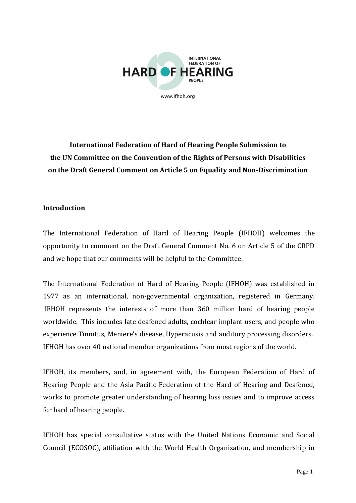

**International Federation of Hard of Hearing People Submission to the UN Committee on the Convention of the Rights of Persons with Disabilities on the Draft General Comment on Article 5 on Equality and Non-Discrimination**

## **Introduction**

The International Federation of Hard of Hearing People (IFHOH) welcomes the opportunity to comment on the Draft General Comment No. 6 on Article 5 of the CRPD and we hope that our comments will be helpful to the Committee.

The International Federation of Hard of Hearing People (IFHOH) was established in 1977 as an international, non-governmental organization, registered in Germany. IFHOH represents the interests of more than 360 million hard of hearing people worldwide. This includes late deafened adults, cochlear implant users, and people who experience Tinnitus, Meniere's disease, Hyperacusis and auditory processing disorders. IFHOH has over 40 national member organizations from most regions of the world.

IFHOH, its members, and, in agreement with, the European Federation of Hard of Hearing People and the Asia Pacific Federation of the Hard of Hearing and Deafened, works to promote greater understanding of hearing loss issues and to improve access for hard of hearing people.

IFHOH has special consultative status with the United Nations Economic and Social Council (ECOSOC), affiliation with the World Health Organization, and membership in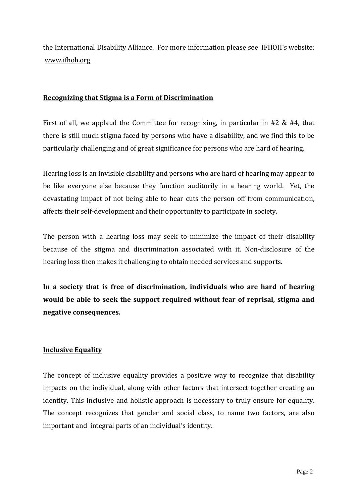the International Disability Alliance. For more information please see IFHOH's website: [www.ifhoh.org](http://www.ifhoh.org/)

### **Recognizing that Stigma is a Form of Discrimination**

First of all, we applaud the Committee for recognizing, in particular in  $#2 \& #4$ , that there is still much stigma faced by persons who have a disability, and we find this to be particularly challenging and of great significance for persons who are hard of hearing.

Hearing loss is an invisible disability and persons who are hard of hearing may appear to be like everyone else because they function auditorily in a hearing world. Yet, the devastating impact of not being able to hear cuts the person off from communication, affects their self-development and their opportunity to participate in society.

The person with a hearing loss may seek to minimize the impact of their disability because of the stigma and discrimination associated with it. Non-disclosure of the hearing loss then makes it challenging to obtain needed services and supports.

**In a society that is free of discrimination, individuals who are hard of hearing would be able to seek the support required without fear of reprisal, stigma and negative consequences.**

# **Inclusive Equality**

The concept of inclusive equality provides a positive way to recognize that disability impacts on the individual, along with other factors that intersect together creating an identity. This inclusive and holistic approach is necessary to truly ensure for equality. The concept recognizes that gender and social class, to name two factors, are also important and integral parts of an individual's identity.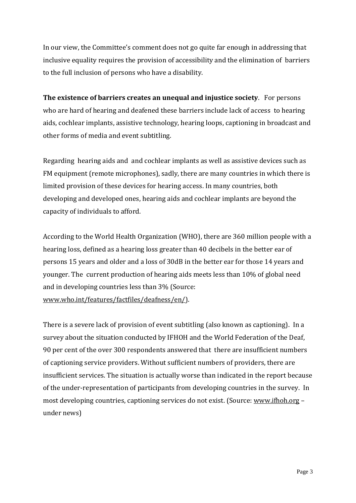In our view, the Committee's comment does not go quite far enough in addressing that inclusive equality requires the provision of accessibility and the elimination of barriers to the full inclusion of persons who have a disability.

**The existence of barriers creates an unequal and injustice society**. For persons who are hard of hearing and deafened these barriers include lack of access to hearing aids, cochlear implants, assistive technology, hearing loops, captioning in broadcast and other forms of media and event subtitling.

Regarding hearing aids and and cochlear implants as well as assistive devices such as FM equipment (remote microphones), sadly, there are many countries in which there is limited provision of these devices for hearing access. In many countries, both developing and developed ones, hearing aids and cochlear implants are beyond the capacity of individuals to afford.

According to the World Health Organization (WHO), there are 360 million people with a hearing loss, defined as a hearing loss greater than 40 decibels in the better ear of persons 15 years and older and a loss of 30dB in the better ear for those 14 years and younger. The current production of hearing aids meets less than 10% of global need and in developing countries less than 3% (Source: [www.who.int/features/factfiles/deafness/en/\)](http://www.who.int/features/factfiles/deafness/en/).

There is a severe lack of provision of event subtitling (also known as captioning). In a survey about the situation conducted by IFHOH and the World Federation of the Deaf, 90 per cent of the over 300 respondents answered that there are insufficient numbers of captioning service providers. Without sufficient numbers of providers, there are insufficient services. The situation is actually worse than indicated in the report because of the under-representation of participants from developing countries in the survey. In most developing countries, captioning services do not exist. (Source: [www.ifhoh.org](http://www.ifhoh.org/) – under news)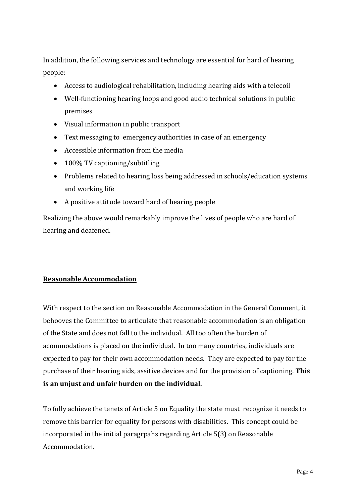In addition, the following services and technology are essential for hard of hearing people:

- Access to audiological rehabilitation, including hearing aids with a telecoil
- Well-functioning hearing loops and good audio technical solutions in public premises
- Visual information in public transport
- Text messaging to emergency authorities in case of an emergency
- Accessible information from the media
- 100% TV captioning/subtitling
- Problems related to hearing loss being addressed in schools/education systems and working life
- A positive attitude toward hard of hearing people

Realizing the above would remarkably improve the lives of people who are hard of hearing and deafened.

#### **Reasonable Accommodation**

With respect to the section on Reasonable Accommodation in the General Comment, it behooves the Committee to articulate that reasonable accommodation is an obligation of the State and does not fall to the individual. All too often the burden of acommodations is placed on the individual. In too many countries, individuals are expected to pay for their own accommodation needs. They are expected to pay for the purchase of their hearing aids, assitive devices and for the provision of captioning. **This is an unjust and unfair burden on the individual.**

To fully achieve the tenets of Article 5 on Equality the state must recognize it needs to remove this barrier for equality for persons with disabilities. This concept could be incorporated in the initial paragrpahs regarding Article 5(3) on Reasonable Accommodation.